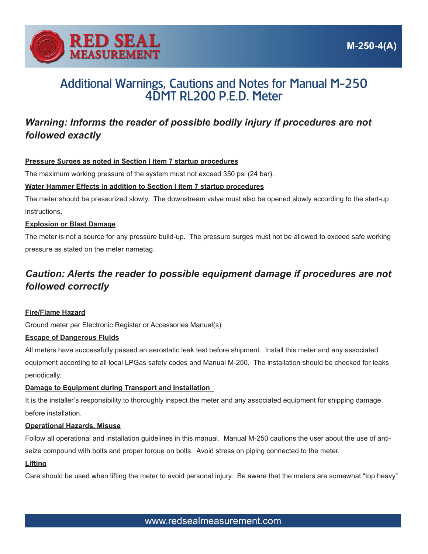

# Additional Warnings, Cautions and Notes for Manual M-250 4DMT RL200 P.E.D. Meter

# *Warning: Informs the reader of possible bodily injury if procedures are not followed exactly*

# **Pressure Surges as noted in Section I item 7 startup procedures**

The maximum working pressure of the system must not exceed 350 psi (24 bar).

# **Water Hammer Effects in addition to Section I item 7 startup procedures**

The meter should be pressurized slowly. The downstream valve must also be opened slowly according to the start-up instructions.

#### **Explosion or Blast Damage**

The meter is not a source for any pressure build-up. The pressure surges must not be allowed to exceed safe working pressure as stated on the meter nametag.

# *Caution: Alerts the reader to possible equipment damage if procedures are not followed correctly*

#### **Fire/Flame Hazard**

Ground meter per Electronic Register or Accessories Manual(s)

# **Escape of Dangerous Fluids**

All meters have successfully passed an aerostatic leak test before shipment. Install this meter and any associated equipment according to all local LPGas safety codes and Manual M-250. The installation should be checked for leaks periodically.

# **Damage to Equipment during Transport and Installation**

It is the installer's responsibility to thoroughly inspect the meter and any associated equipment for shipping damage before installation.

#### **Operational Hazards, Misuse**

Follow all operational and installation guidelines in this manual. Manual M-250 cautions the user about the use of antiseize compound with bolts and proper torque on bolts. Avoid stress on piping connected to the meter.

# **Lifting**

Care should be used when lifting the meter to avoid personal injury. Be aware that the meters are somewhat "top heavy".